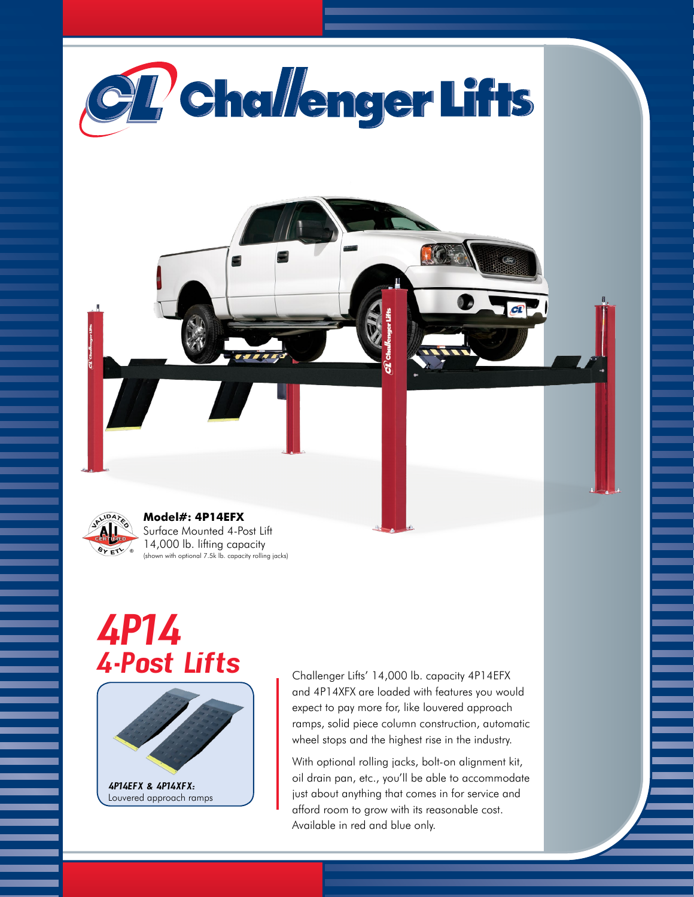



## **Model#: 4P14EFX** Surface Mounted 4-Post Lift 14,000 lb. lifting capacity

(shown with optional 7.5k lb. capacity rolling jacks)

## *4P14 4-Post Lifts*



Challenger Lifts' 14,000 lb. capacity 4P14EFX and 4P14XFX are loaded with features you would expect to pay more for, like louvered approach ramps, solid piece column construction, automatic wheel stops and the highest rise in the industry.

With optional rolling jacks, bolt-on alignment kit, oil drain pan, etc., you'll be able to accommodate just about anything that comes in for service and afford room to grow with its reasonable cost. Available in red and blue only.